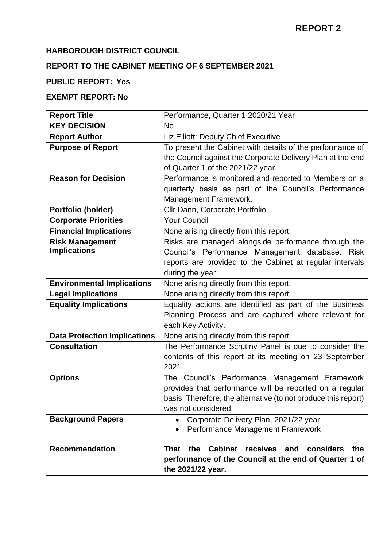## **HARBOROUGH DISTRICT COUNCIL**

# **REPORT TO THE CABINET MEETING OF 6 SEPTEMBER 2021**

#### **PUBLIC REPORT: Yes**

# **EXEMPT REPORT: No**

| <b>Report Title</b>                 | Performance, Quarter 1 2020/21 Year                            |
|-------------------------------------|----------------------------------------------------------------|
| <b>KEY DECISION</b>                 | <b>No</b>                                                      |
| <b>Report Author</b>                | Liz Elliott: Deputy Chief Executive                            |
| <b>Purpose of Report</b>            | To present the Cabinet with details of the performance of      |
|                                     | the Council against the Corporate Delivery Plan at the end     |
|                                     | of Quarter 1 of the 2021/22 year.                              |
| <b>Reason for Decision</b>          | Performance is monitored and reported to Members on a          |
|                                     | quarterly basis as part of the Council's Performance           |
|                                     | Management Framework.                                          |
| Portfolio (holder)                  | Cllr Dann, Corporate Portfolio                                 |
| <b>Corporate Priorities</b>         | <b>Your Council</b>                                            |
| <b>Financial Implications</b>       | None arising directly from this report.                        |
| <b>Risk Management</b>              | Risks are managed alongside performance through the            |
| <b>Implications</b>                 | Council's Performance Management database. Risk                |
|                                     | reports are provided to the Cabinet at regular intervals       |
|                                     | during the year.                                               |
| <b>Environmental Implications</b>   | None arising directly from this report.                        |
| <b>Legal Implications</b>           | None arising directly from this report.                        |
| <b>Equality Implications</b>        | Equality actions are identified as part of the Business        |
|                                     | Planning Process and are captured where relevant for           |
|                                     | each Key Activity.                                             |
| <b>Data Protection Implications</b> | None arising directly from this report.                        |
| <b>Consultation</b>                 | The Performance Scrutiny Panel is due to consider the          |
|                                     | contents of this report at its meeting on 23 September         |
|                                     | 2021.                                                          |
| <b>Options</b>                      | The Council's Performance Management Framework                 |
|                                     | provides that performance will be reported on a regular        |
|                                     | basis. Therefore, the alternative (to not produce this report) |
|                                     | was not considered.                                            |
| <b>Background Papers</b>            | Corporate Delivery Plan, 2021/22 year<br>$\bullet$             |
|                                     | Performance Management Framework                               |
|                                     | Cabinet receives<br>considers<br><b>That</b>                   |
| <b>Recommendation</b>               | the<br>and<br>the                                              |
|                                     | performance of the Council at the end of Quarter 1 of          |
|                                     | the 2021/22 year.                                              |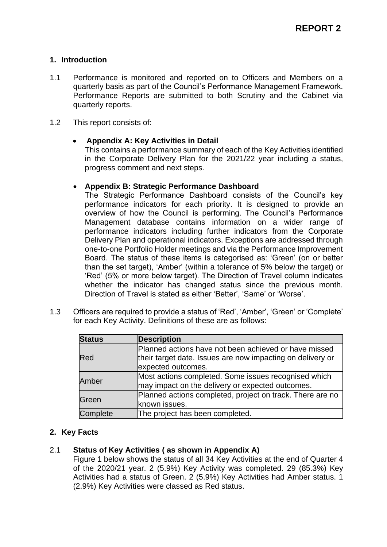### **1. Introduction**

- 1.1 Performance is monitored and reported on to Officers and Members on a quarterly basis as part of the Council's Performance Management Framework. Performance Reports are submitted to both Scrutiny and the Cabinet via quarterly reports.
- 1.2 This report consists of:

### • **Appendix A: Key Activities in Detail**

This contains a performance summary of each of the Key Activities identified in the Corporate Delivery Plan for the 2021/22 year including a status, progress comment and next steps.

#### • **Appendix B: Strategic Performance Dashboard**

The Strategic Performance Dashboard consists of the Council's key performance indicators for each priority. It is designed to provide an overview of how the Council is performing. The Council's Performance Management database contains information on a wider range of performance indicators including further indicators from the Corporate Delivery Plan and operational indicators. Exceptions are addressed through one-to-one Portfolio Holder meetings and via the Performance Improvement Board. The status of these items is categorised as: 'Green' (on or better than the set target), 'Amber' (within a tolerance of 5% below the target) or 'Red' (5% or more below target). The Direction of Travel column indicates whether the indicator has changed status since the previous month. Direction of Travel is stated as either 'Better', 'Same' or 'Worse'.

1.3 Officers are required to provide a status of 'Red', 'Amber', 'Green' or 'Complete' for each Key Activity. Definitions of these are as follows:

| <b>Status</b> | <b>Description</b>                                                                                                                        |
|---------------|-------------------------------------------------------------------------------------------------------------------------------------------|
| Red           | Planned actions have not been achieved or have missed<br>their target date. Issues are now impacting on delivery or<br>expected outcomes. |
| Amber         | Most actions completed. Some issues recognised which<br>may impact on the delivery or expected outcomes.                                  |
| Green         | Planned actions completed, project on track. There are no<br>known issues.                                                                |
| Complete      | The project has been completed.                                                                                                           |

## **2. Key Facts**

#### 2.1 **Status of Key Activities ( as shown in Appendix A)**

Figure 1 below shows the status of all 34 Key Activities at the end of Quarter 4 of the 2020/21 year. 2 (5.9%) Key Activity was completed. 29 (85.3%) Key Activities had a status of Green. 2 (5.9%) Key Activities had Amber status. 1 (2.9%) Key Activities were classed as Red status.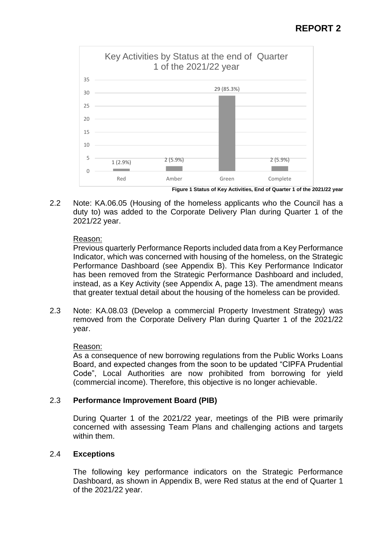

**Figure 1 Status of Key Activities, End of Quarter 1 of the 2021/22 year**

2.2 Note: KA.06.05 (Housing of the homeless applicants who the Council has a duty to) was added to the Corporate Delivery Plan during Quarter 1 of the 2021/22 year.

#### Reason:

Previous quarterly Performance Reports included data from a Key Performance Indicator, which was concerned with housing of the homeless, on the Strategic Performance Dashboard (see Appendix B). This Key Performance Indicator has been removed from the Strategic Performance Dashboard and included, instead, as a Key Activity (see Appendix A, page 13). The amendment means that greater textual detail about the housing of the homeless can be provided.

2.3 Note: KA.08.03 (Develop a commercial Property Investment Strategy) was removed from the Corporate Delivery Plan during Quarter 1 of the 2021/22 year.

#### Reason:

As a consequence of new borrowing regulations from the Public Works Loans Board, and expected changes from the soon to be updated "CIPFA Prudential Code", Local Authorities are now prohibited from borrowing for yield (commercial income). Therefore, this objective is no longer achievable.

#### 2.3 **Performance Improvement Board (PIB)**

During Quarter 1 of the 2021/22 year, meetings of the PIB were primarily concerned with assessing Team Plans and challenging actions and targets within them.

#### 2.4 **Exceptions**

The following key performance indicators on the Strategic Performance Dashboard, as shown in Appendix B, were Red status at the end of Quarter 1 of the 2021/22 year.